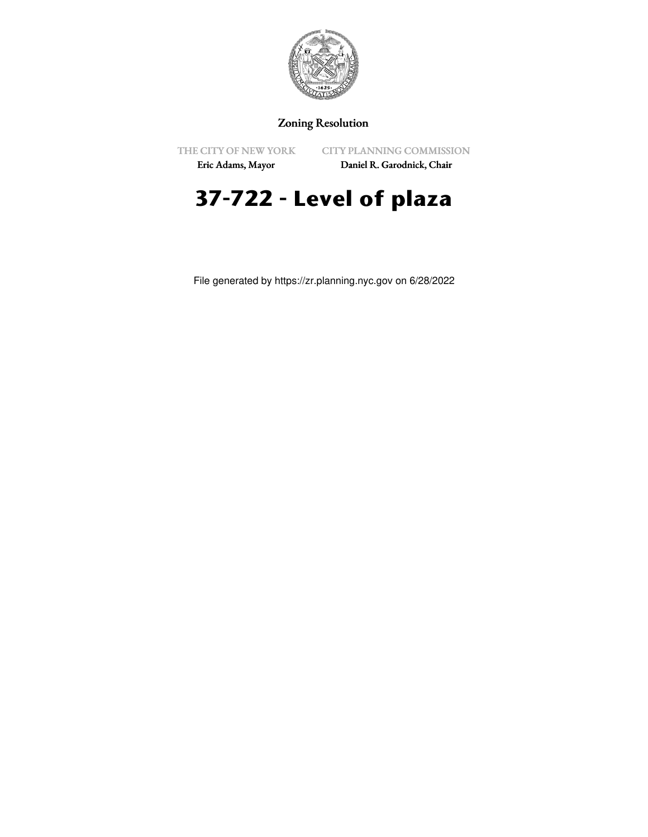

## Zoning Resolution

THE CITY OF NEW YORK

CITY PLANNING COMMISSION

Eric Adams, Mayor

Daniel R. Garodnick, Chair

## **37-722 - Level of plaza**

File generated by https://zr.planning.nyc.gov on 6/28/2022